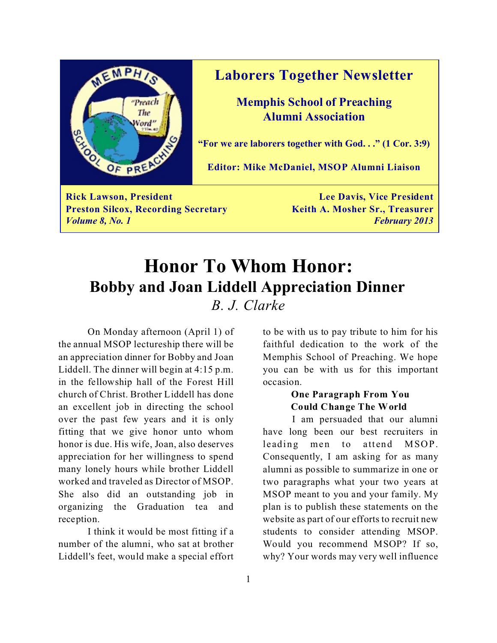

## **Laborers Together Newsletter**

**Memphis School of Preaching Alumni Association**

**"For we are laborers together with God. . ." (1 Cor. 3:9)**

**Editor: Mike McDaniel, MSOP Alumni Liaison**

**Rick Lawson, President Lee Davis, Vice President Preston Silcox, Recording Secretary <b>Keith A. Mosher Sr., Treasurer** *Volume 8, No. 1 February 2013*

# **Honor To Whom Honor: Bobby and Joan Liddell Appreciation Dinner** *B. J. Clarke*

On Monday afternoon (April 1) of the annual MSOP lectureship there will be an appreciation dinner for Bobby and Joan Liddell. The dinner will begin at 4:15 p.m. in the fellowship hall of the Forest Hill church of Christ. Brother Liddell has done an excellent job in directing the school over the past few years and it is only fitting that we give honor unto whom honor is due. His wife, Joan, also deserves appreciation for her willingness to spend many lonely hours while brother Liddell worked and traveled as Director of MSOP. She also did an outstanding job in organizing the Graduation tea and reception.

I think it would be most fitting if a number of the alumni, who sat at brother Liddell's feet, would make a special effort to be with us to pay tribute to him for his faithful dedication to the work of the Memphis School of Preaching. We hope you can be with us for this important occasion.

## **One Paragraph From You Could Change The World**

I am persuaded that our alumni have long been our best recruiters in leading men to attend MSOP. Consequently, I am asking for as many alumni as possible to summarize in one or two paragraphs what your two years at MSOP meant to you and your family. My plan is to publish these statements on the website as part of our efforts to recruit new students to consider attending MSOP. Would you recommend MSOP? If so, why? Your words may very well influence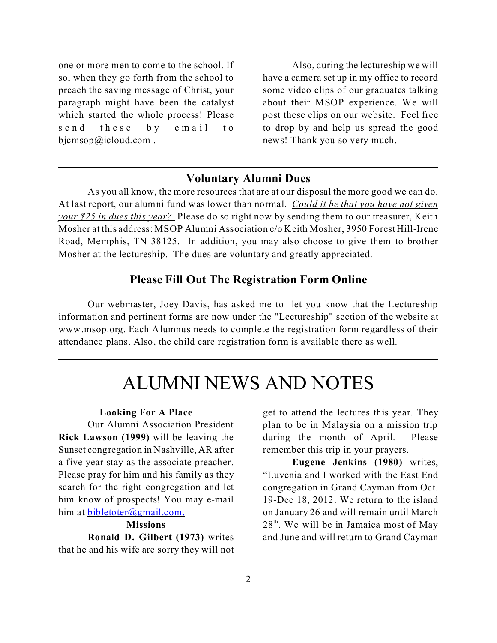one or more men to come to the school. If so, when they go forth from the school to preach the saving message of Christ, your paragraph might have been the catalyst which started the whole process! Please send these by email to bicmsop@icloud.com.

Also, during the lectureship we will have a camera set up in my office to record some video clips of our graduates talking about their MSOP experience. We will post these clips on our website. Feel free to drop by and help us spread the good news! Thank you so very much.

## **Voluntary Alumni Dues**

As you all know, the more resources that are at our disposal the more good we can do. At last report, our alumni fund was lower than normal. *Could it be that you have not given your \$25 in dues this year?* Please do so right now by sending them to our treasurer, Keith Mosher at this address: MSOP Alumni Association c/o Keith Mosher, 3950 Forest Hill-Irene Road, Memphis, TN 38125. In addition, you may also choose to give them to brother Mosher at the lectureship. The dues are voluntary and greatly appreciated.

## **Please Fill Out The Registration Form Online**

Our webmaster, Joey Davis, has asked me to let you know that the Lectureship information and pertinent forms are now under the "Lectureship" section of the website at www.msop.org. Each Alumnus needs to complete the registration form regardless of their attendance plans. Also, the child care registration form is available there as well.

# ALUMNI NEWS AND NOTES

#### **Looking For A Place**

Our Alumni Association President **Rick Lawson (1999)** will be leaving the Sunset congregation in Nashville, AR after a five year stay as the associate preacher. Please pray for him and his family as they search for the right congregation and let him know of prospects! You may e-mail him at [bibletoter@gmail.com.](mailto:bibletoter@gmail.com.)

#### **Missions**

**Ronald D. Gilbert (1973)** writes that he and his wife are sorry they will not get to attend the lectures this year. They plan to be in Malaysia on a mission trip during the month of April. Please remember this trip in your prayers.

**Eugene Jenkins (1980)** writes, "Luvenia and I worked with the East End congregation in Grand Cayman from Oct. 19-Dec 18, 2012. We return to the island on January 26 and will remain until March 28<sup>th</sup>. We will be in Jamaica most of May and June and will return to Grand Cayman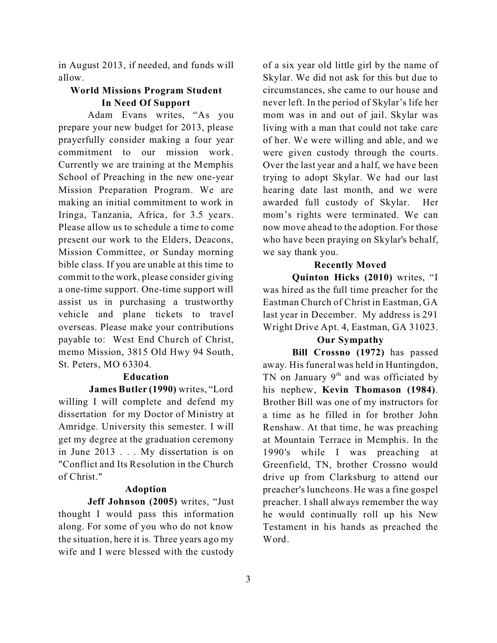in August 2013, if needed, and funds will allow.

### **World Missions Program Student In Need Of Support**

Adam Evans writes, "As you prepare your new budget for 2013, please prayerfully consider making a four year commitment to our mission work. Currently we are training at the Memphis School of Preaching in the new one-year Mission Preparation Program. We are making an initial commitment to work in Iringa, Tanzania, Africa, for 3.5 years. Please allow us to schedule a time to come present our work to the Elders, Deacons, Mission Committee, or Sunday morning bible class. If you are unable at this time to commit to the work, please consider giving a one-time support. One-time support will assist us in purchasing a trustworthy vehicle and plane tickets to travel overseas. Please make your contributions payable to: West End Church of Christ, memo Mission, 3815 Old Hwy 94 South, St. Peters, MO 63304.

#### **Education**

**James Butler (1990)** writes, "Lord willing I will complete and defend my dissertation for my Doctor of Ministry at Amridge. University this semester. I will get my degree at the graduation ceremony in June 2013 . . . My dissertation is on "Conflict and Its Resolution in the Church of Christ."

#### **Adoption**

**Jeff Johnson (2005)** writes, "Just thought I would pass this information along. For some of you who do not know the situation, here it is. Three years ago my wife and I were blessed with the custody

of a six year old little girl by the name of Skylar. We did not ask for this but due to circumstances, she came to our house and never left. In the period of Skylar's life her mom was in and out of jail. Skylar was living with a man that could not take care of her. We were willing and able, and we were given custody through the courts. Over the last year and a half, we have been trying to adopt Skylar. We had our last hearing date last month, and we were awarded full custody of Skylar. Her mom's rights were terminated. We can now move ahead to the adoption. For those who have been praying on Skylar's behalf, we say thank you.

#### **Recently Moved**

**Quinton Hicks (2010)** writes, "I was hired as the full time preacher for the Eastman Church of Christ in Eastman, GA last year in December. My address is 291 Wright Drive Apt. 4, Eastman, GA 31023.

### **Our Sympathy**

**Bill Crossno (1972)** has passed away. His funeral was held in Huntingdon, TN on January  $9<sup>th</sup>$  and was officiated by his nephew, **Kevin Thomason (1984)**. Brother Bill was one of my instructors for a time as he filled in for brother John Renshaw. At that time, he was preaching at Mountain Terrace in Memphis. In the 1990's while I was preaching at Greenfield, TN, brother Crossno would drive up from Clarksburg to attend our preacher's luncheons. He was a fine gospel preacher. I shall always remember the way he would continually roll up his New Testament in his hands as preached the Word.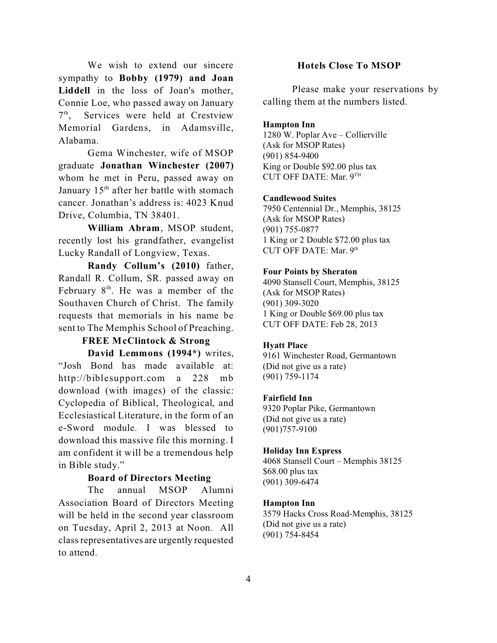We wish to extend our sincere sympathy to **Bobby (1979) and Joan Liddell** in the loss of Joan's mother, Connie Loe, who passed away on January 7<sup>th</sup>, Services were held at Crestview Memorial Gardens, in Adamsville, Alabama.

Gema Winchester, wife of MSOP graduate **Jonathan Winchester (2007)** whom he met in Peru, passed away on January  $15<sup>th</sup>$  after her battle with stomach cancer. Jonathan's address is: 4023 Knud Drive, Columbia, TN 38401.

**William Abram**, MSOP student, recently lost his grandfather, evangelist Lucky Randall of Longview, Texas.

**Randy Collum's (2010)** father, Randall R. Collum, SR. passed away on February  $8<sup>th</sup>$ . He was a member of the Southaven Church of Christ. The family requests that memorials in his name be sent to The Memphis School of Preaching.

## **FREE McClintock & Strong**

**David Lemmons (1994\*)** writes, "Josh Bond has made available at: http://biblesupport.com a 228 mb download (with images) of the classic: Cyclopedia of Biblical, Theological, and Ecclesiastical Literature, in the form of an e-Sword module. I was blessed to download this massive file this morning. I am confident it will be a tremendous help in Bible study."

#### **Board of Directors Meeting**

The annual MSOP Alumni Association Board of Directors Meeting will be held in the second year classroom on Tuesday, April 2, 2013 at Noon. All class representatives are urgently requested to attend.

#### **Hotels Close To MSOP**

Please make your reservations by calling them at the numbers listed.

#### **Hampton Inn**

1280 W. Poplar Ave – Collierville (Ask for MSOP Rates) (901) 854-9400 King or Double \$92.00 plus tax CUT OFF DATE: Mar. 9 TH

#### **Candlewood Suites**

7950 Centennial Dr., Memphis, 38125 (Ask for MSOP Rates) (901) 755-0877 1 King or 2 Double \$72.00 plus tax CUT OFF DATE: Mar. 9<sup>th</sup>

#### **Four Points by Sheraton**

4090 Stansell Court, Memphis, 38125 (Ask for MSOP Rates) (901) 309-3020 1 King or Double \$69.00 plus tax CUT OFF DATE: Feb 28, 2013

#### **Hyatt Place**

9161 Winchester Road, Germantown (Did not give us a rate) (901) 759-1174

#### **Fairfield Inn**

9320 Poplar Pike, Germantown (Did not give us a rate) (901)757-9100

#### **Holiday Inn Express**

4068 Stansell Court – Memphis 38125 \$68.00 plus tax (901) 309-6474

#### **Hampton Inn**

3579 Hacks Cross Road-Memphis, 38125 (Did not give us a rate) (901) 754-8454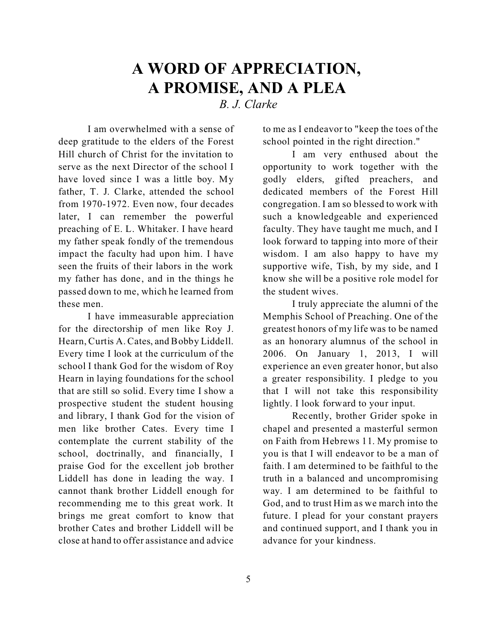## **A WORD OF APPRECIATION, A PROMISE, AND A PLEA** *B. J. Clarke*

I am overwhelmed with a sense of deep gratitude to the elders of the Forest Hill church of Christ for the invitation to serve as the next Director of the school I have loved since I was a little boy. My father, T. J. Clarke, attended the school from 1970-1972. Even now, four decades later, I can remember the powerful preaching of E. L. Whitaker. I have heard my father speak fondly of the tremendous impact the faculty had upon him. I have seen the fruits of their labors in the work my father has done, and in the things he passed down to me, which he learned from these men.

I have immeasurable appreciation for the directorship of men like Roy J. Hearn, Curtis A. Cates, and Bobby Liddell. Every time I look at the curriculum of the school I thank God for the wisdom of Roy Hearn in laying foundations for the school that are still so solid. Every time I show a prospective student the student housing and library, I thank God for the vision of men like brother Cates. Every time I contemplate the current stability of the school, doctrinally, and financially, I praise God for the excellent job brother Liddell has done in leading the way. I cannot thank brother Liddell enough for recommending me to this great work. It brings me great comfort to know that brother Cates and brother Liddell will be close at hand to offer assistance and advice

to me as I endeavor to "keep the toes of the school pointed in the right direction."

I am very enthused about the opportunity to work together with the godly elders, gifted preachers, and dedicated members of the Forest Hill congregation. I am so blessed to work with such a knowledgeable and experienced faculty. They have taught me much, and I look forward to tapping into more of their wisdom. I am also happy to have my supportive wife, Tish, by my side, and I know she will be a positive role model for the student wives.

I truly appreciate the alumni of the Memphis School of Preaching. One of the greatest honors of my life was to be named as an honorary alumnus of the school in 2006. On January 1, 2013, I will experience an even greater honor, but also a greater responsibility. I pledge to you that I will not take this responsibility lightly. I look forward to your input.

Recently, brother Grider spoke in chapel and presented a masterful sermon on Faith from Hebrews 11. My promise to you is that I will endeavor to be a man of faith. I am determined to be faithful to the truth in a balanced and uncompromising way. I am determined to be faithful to God, and to trust Him as we march into the future. I plead for your constant prayers and continued support, and I thank you in advance for your kindness.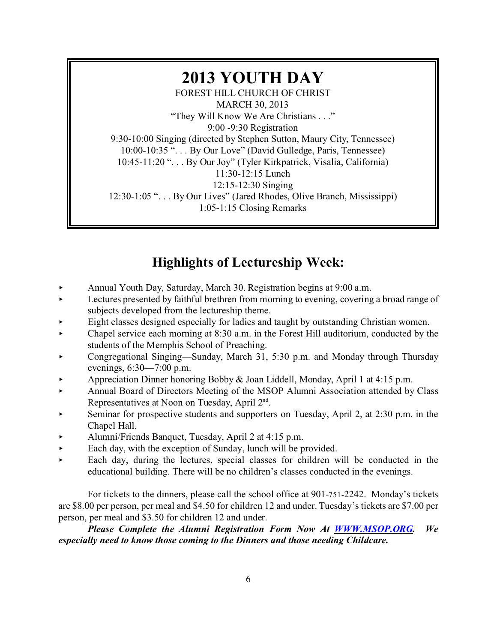## **2013 YOUTH DAY** FOREST HILL CHURCH OF CHRIST MARCH 30, 2013 "They Will Know We Are Christians . . ." 9:00 -9:30 Registration 9:30-10:00 Singing (directed by Stephen Sutton, Maury City, Tennessee) 10:00-10:35 ". . . By Our Love" (David Gulledge, Paris, Tennessee) 10:45-11:20 ". . . By Our Joy" (Tyler Kirkpatrick, Visalia, California) 11:30-12:15 Lunch 12:15-12:30 Singing 12:30-1:05 ". . . By Our Lives" (Jared Rhodes, Olive Branch, Mississippi) 1:05-1:15 Closing Remarks

## **Highlights of Lectureship Week:**

- Annual Youth Day, Saturday, March 30. Registration begins at  $9:00$  a.m.
- Executive presented by faithful brethren from morning to evening, covering a broad range of subjects developed from the lectureship theme.
- < Eight classes designed especially for ladies and taught by outstanding Christian women.
- $\blacktriangleright$  Chapel service each morning at 8:30 a.m. in the Forest Hill auditorium, conducted by the students of the Memphis School of Preaching.
- ▶ Congregational Singing—Sunday, March 31, 5:30 p.m. and Monday through Thursday evenings, 6:30—7:00 p.m.
- < Appreciation Dinner honoring Bobby & Joan Liddell, Monday, April 1 at 4:15 p.m.
- < Annual Board of Directors Meeting of the MSOP Alumni Association attended by Class Representatives at Noon on Tuesday, April 2<sup>nd</sup>.
- Seminar for prospective students and supporters on Tuesday, April 2, at 2:30 p.m. in the Chapel Hall.
- < Alumni/Friends Banquet, Tuesday, April 2 at 4:15 p.m.
- $\blacktriangleright$  Each day, with the exception of Sunday, lunch will be provided.
- $\blacktriangleright$  Each day, during the lectures, special classes for children will be conducted in the educational building. There will be no children's classes conducted in the evenings.

For tickets to the dinners, please call the school office at 901-751-2242. Monday's tickets are \$8.00 per person, per meal and \$4.50 for children 12 and under. Tuesday's tickets are \$7.00 per person, per meal and \$3.50 for children 12 and under.

*Please Complete the Alumni Registration Form Now At [WWW.MSOP.ORG](http://WWW.MSOP.ORG). We especially need to know those coming to the Dinners and those needing Childcare.*